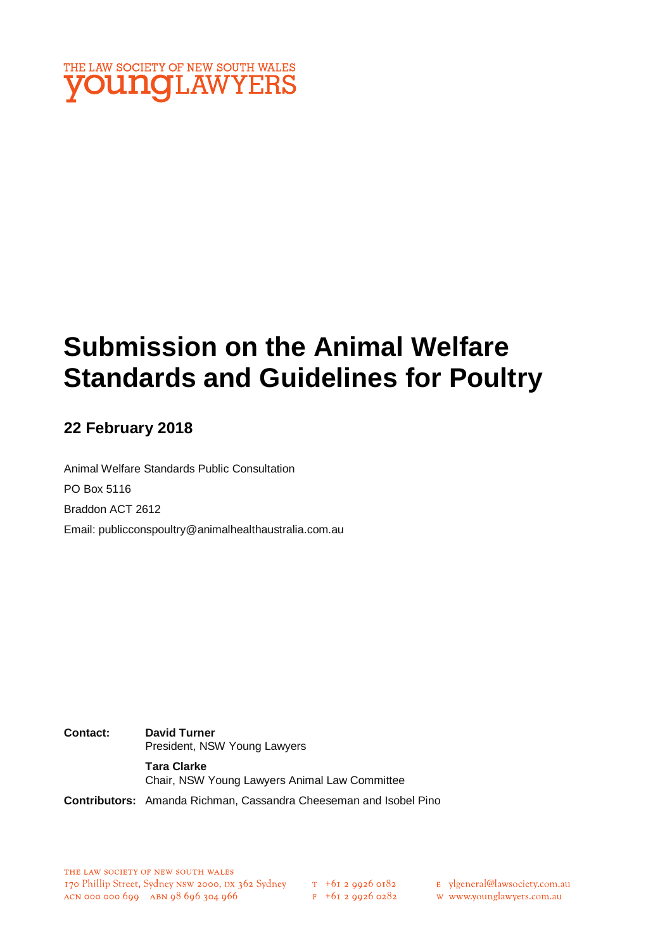

# **Submission on the Animal Welfare Standards and Guidelines for Poultry**

### **22 February 2018**

Animal Welfare Standards Public Consultation PO Box 5116 Braddon ACT 2612 Email: publicconspoultry@animalhealthaustralia.com.au

**Contact: David Turner** President, NSW Young Lawyers **Tara Clarke** Chair, NSW Young Lawyers Animal Law Committee **Contributors:** Amanda Richman, Cassandra Cheeseman and Isobel Pino

 $F$  +61 2 9926 0282

E ylgeneral@lawsociety.com.au

w www.younglawyers.com.au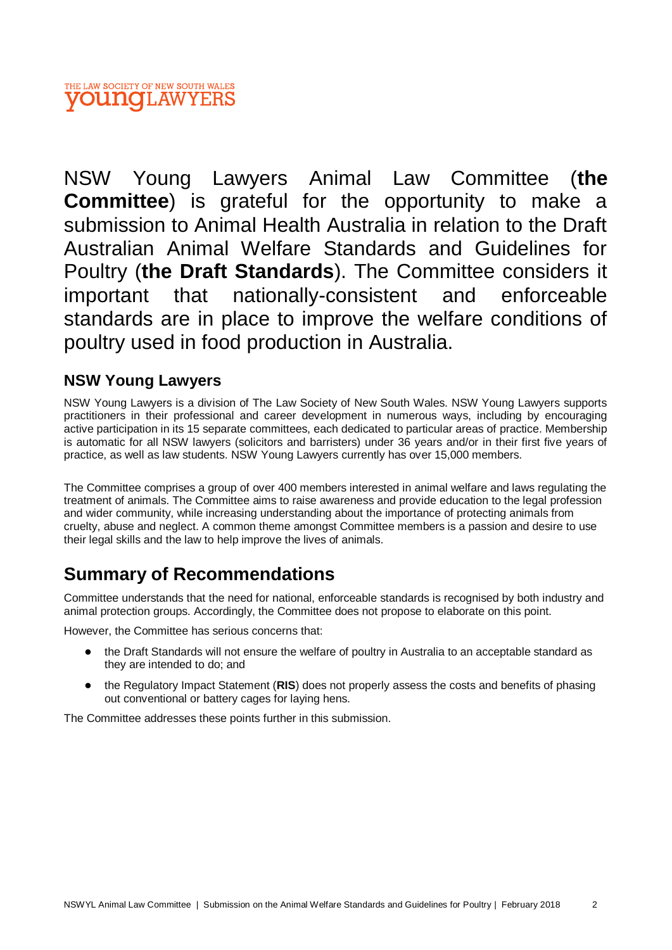#### THE LAW SOCIETY OF NEW SOUTH WALES **OUNCLAWYERS**

NSW Young Lawyers Animal Law Committee (**the Committee**) is grateful for the opportunity to make a submission to Animal Health Australia in relation to the Draft Australian Animal Welfare Standards and Guidelines for Poultry (**the Draft Standards**). The Committee considers it important that nationally-consistent and enforceable standards are in place to improve the welfare conditions of poultry used in food production in Australia.

### **NSW Young Lawyers**

NSW Young Lawyers is a division of The Law Society of New South Wales. NSW Young Lawyers supports practitioners in their professional and career development in numerous ways, including by encouraging active participation in its 15 separate committees, each dedicated to particular areas of practice. Membership is automatic for all NSW lawyers (solicitors and barristers) under 36 years and/or in their first five years of practice, as well as law students. NSW Young Lawyers currently has over 15,000 members.

The Committee comprises a group of over 400 members interested in animal welfare and laws regulating the treatment of animals. The Committee aims to raise awareness and provide education to the legal profession and wider community, while increasing understanding about the importance of protecting animals from cruelty, abuse and neglect. A common theme amongst Committee members is a passion and desire to use their legal skills and the law to help improve the lives of animals.

# **Summary of Recommendations**

Committee understands that the need for national, enforceable standards is recognised by both industry and animal protection groups. Accordingly, the Committee does not propose to elaborate on this point.

However, the Committee has serious concerns that:

- the Draft Standards will not ensure the welfare of poultry in Australia to an acceptable standard as they are intended to do; and
- the Regulatory Impact Statement (**RIS**) does not properly assess the costs and benefits of phasing out conventional or battery cages for laying hens.

The Committee addresses these points further in this submission.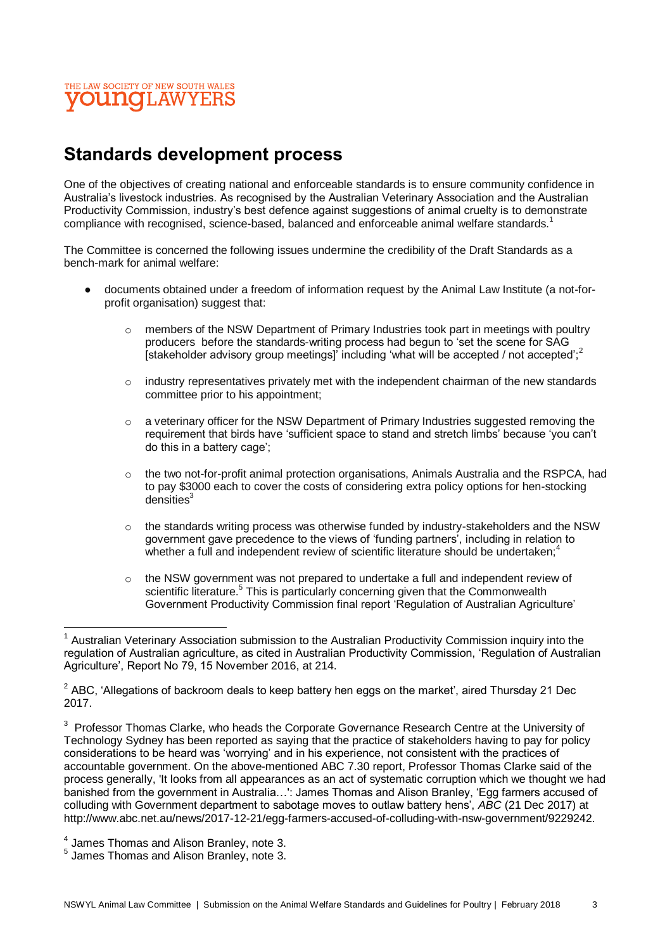

## **Standards development process**

One of the objectives of creating national and enforceable standards is to ensure community confidence in Australia's livestock industries. As recognised by the Australian Veterinary Association and the Australian Productivity Commission, industry's best defence against suggestions of animal cruelty is to demonstrate compliance with recognised, science-based, balanced and enforceable animal welfare standards.<sup>1</sup>

The Committee is concerned the following issues undermine the credibility of the Draft Standards as a bench-mark for animal welfare:

- documents obtained under a freedom of information request by the Animal Law Institute (a not-forprofit organisation) suggest that:
	- o members of the NSW Department of Primary Industries took part in meetings with poultry producers before the standards-writing process had begun to 'set the scene for SAG [stakeholder advisory group meetings] including 'what will be accepted / not accepted':<sup>2</sup>
	- $\circ$  industry representatives privately met with the independent chairman of the new standards committee prior to his appointment;
	- $\circ$  a veterinary officer for the NSW Department of Primary Industries suggested removing the requirement that birds have 'sufficient space to stand and stretch limbs' because 'you can't do this in a battery cage';
	- $\circ$  the two not-for-profit animal protection organisations, Animals Australia and the RSPCA, had to pay \$3000 each to cover the costs of considering extra policy options for hen-stocking densities<sup>3</sup>
	- $\circ$  the standards writing process was otherwise funded by industry-stakeholders and the NSW government gave precedence to the views of 'funding partners', including in relation to whether a full and independent review of scientific literature should be undertaken;<sup>4</sup>
	- $\circ$  the NSW government was not prepared to undertake a full and independent review of scientific literature.<sup>5</sup> This is particularly concerning given that the Commonwealth Government Productivity Commission final report 'Regulation of Australian Agriculture'

 $\overline{\phantom{a}}$ 

 $1$  Australian Veterinary Association submission to the Australian Productivity Commission inquiry into the regulation of Australian agriculture, as cited in Australian Productivity Commission, 'Regulation of Australian Agriculture', Report No 79, 15 November 2016, at 214.

 $2$  ABC, 'Allegations of backroom deals to keep battery hen eggs on the market', aired Thursday 21 Dec 2017.

 $3$  Professor Thomas Clarke, who heads the Corporate Governance Research Centre at the University of Technology Sydney has been reported as saying that the practice of stakeholders having to pay for policy considerations to be heard was 'worrying' and in his experience, not consistent with the practices of accountable government. On the above-mentioned ABC 7.30 report, Professor Thomas Clarke said of the process generally, 'It looks from all appearances as an act of systematic corruption which we thought we had banished from the government in Australia…': James Thomas and Alison Branley, 'Egg farmers accused of colluding with Government department to sabotage moves to outlaw battery hens', *ABC* (21 Dec 2017) at http://www.abc.net.au/news/2017-12-21/egg-farmers-accused-of-colluding-with-nsw-government/9229242.

<sup>&</sup>lt;sup>4</sup> James Thomas and Alison Branley, note 3.

<sup>&</sup>lt;sup>5</sup> James Thomas and Alison Branley, note 3.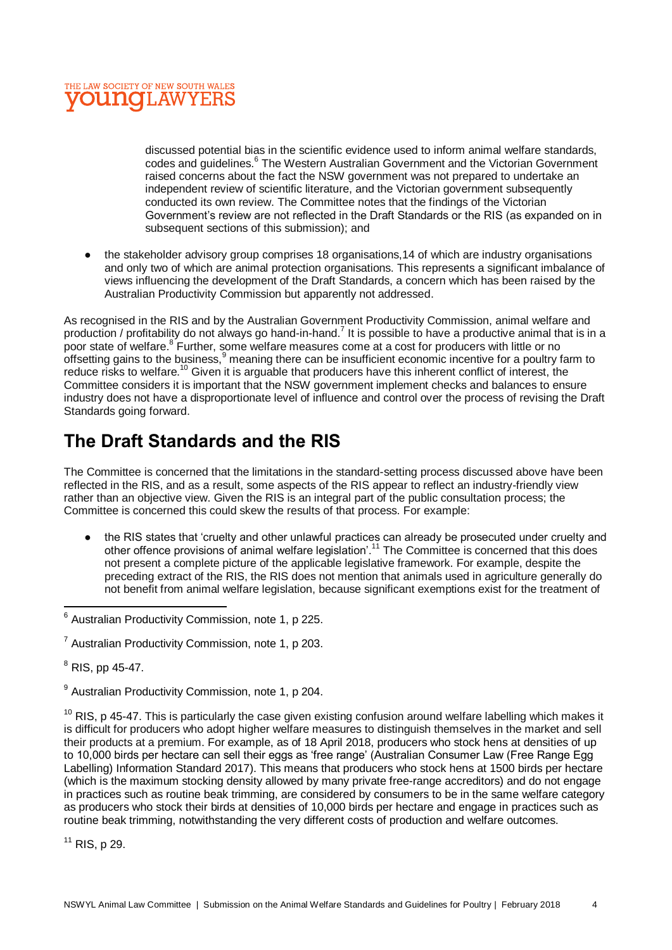

discussed potential bias in the scientific evidence used to inform animal welfare standards, codes and guidelines.<sup>6</sup> The Western Australian Government and the Victorian Government raised concerns about the fact the NSW government was not prepared to undertake an independent review of scientific literature, and the Victorian government subsequently conducted its own review. The Committee notes that the findings of the Victorian Government's review are not reflected in the Draft Standards or the RIS (as expanded on in subsequent sections of this submission); and

● the stakeholder advisory group comprises 18 organisations,14 of which are industry organisations and only two of which are animal protection organisations. This represents a significant imbalance of views influencing the development of the Draft Standards, a concern which has been raised by the Australian Productivity Commission but apparently not addressed.

As recognised in the RIS and by the Australian Government Productivity Commission, animal welfare and production / profitability do not always go hand-in-hand.<sup>7</sup> It is possible to have a productive animal that is in a poor state of welfare.<sup>8</sup> Further, some welfare measures come at a cost for producers with little or no offsetting gains to the business,  $9$  meaning there can be insufficient economic incentive for a poultry farm to reduce risks to welfare.<sup>10</sup> Given it is arguable that producers have this inherent conflict of interest, the Committee considers it is important that the NSW government implement checks and balances to ensure industry does not have a disproportionate level of influence and control over the process of revising the Draft Standards going forward.

# **The Draft Standards and the RIS**

The Committee is concerned that the limitations in the standard-setting process discussed above have been reflected in the RIS, and as a result, some aspects of the RIS appear to reflect an industry-friendly view rather than an objective view. Given the RIS is an integral part of the public consultation process; the Committee is concerned this could skew the results of that process. For example:

● the RIS states that 'cruelty and other unlawful practices can already be prosecuted under cruelty and other offence provisions of animal welfare legislation'.<sup>11</sup> The Committee is concerned that this does not present a complete picture of the applicable legislative framework. For example, despite the preceding extract of the RIS, the RIS does not mention that animals used in agriculture generally do not benefit from animal welfare legislation, because significant exemptions exist for the treatment of

 $\overline{\phantom{a}}$ 

 $9$  Australian Productivity Commission, note 1, p 204.

 $10$  RIS, p 45-47. This is particularly the case given existing confusion around welfare labelling which makes it is difficult for producers who adopt higher welfare measures to distinguish themselves in the market and sell their products at a premium. For example, as of 18 April 2018, producers who stock hens at densities of up to 10,000 birds per hectare can sell their eggs as 'free range' (Australian Consumer Law (Free Range Egg Labelling) Information Standard 2017). This means that producers who stock hens at 1500 birds per hectare (which is the maximum stocking density allowed by many private free-range accreditors) and do not engage in practices such as routine beak trimming, are considered by consumers to be in the same welfare category as producers who stock their birds at densities of 10,000 birds per hectare and engage in practices such as routine beak trimming, notwithstanding the very different costs of production and welfare outcomes.

 $11$  RIS, p 29.

 $6$  Australian Productivity Commission, note 1, p 225.

 $<sup>7</sup>$  Australian Productivity Commission, note 1, p 203.</sup>

 $8$  RIS, pp 45-47.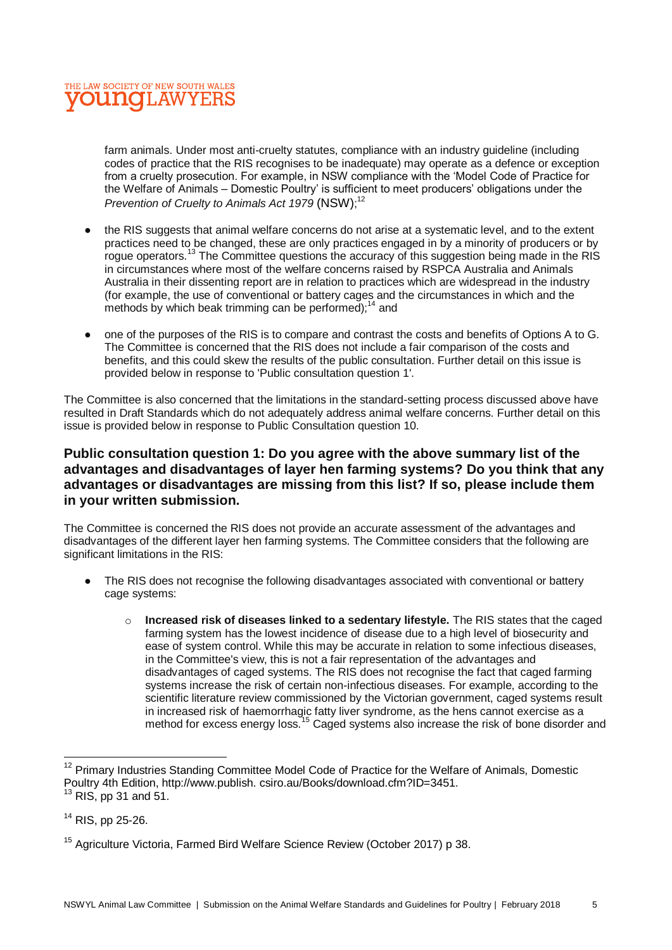

farm animals. Under most anti-cruelty statutes, compliance with an industry guideline (including codes of practice that the RIS recognises to be inadequate) may operate as a defence or exception from a cruelty prosecution. For example, in NSW compliance with the 'Model Code of Practice for the Welfare of Animals – Domestic Poultry' is sufficient to meet producers' obligations under the Prevention of Cruelty to Animals Act 1979 (NSW);<sup>12</sup>

- the RIS suggests that animal welfare concerns do not arise at a systematic level, and to the extent practices need to be changed, these are only practices engaged in by a minority of producers or by roque operators.<sup>13</sup> The Committee questions the accuracy of this suggestion being made in the RIS in circumstances where most of the welfare concerns raised by RSPCA Australia and Animals Australia in their dissenting report are in relation to practices which are widespread in the industry (for example, the use of conventional or battery cages and the circumstances in which and the methods by which beak trimming can be performed); $14$  and
- one of the purposes of the RIS is to compare and contrast the costs and benefits of Options A to G. The Committee is concerned that the RIS does not include a fair comparison of the costs and benefits, and this could skew the results of the public consultation. Further detail on this issue is provided below in response to 'Public consultation question 1'.

The Committee is also concerned that the limitations in the standard-setting process discussed above have resulted in Draft Standards which do not adequately address animal welfare concerns. Further detail on this issue is provided below in response to Public Consultation question 10.

#### **Public consultation question 1: Do you agree with the above summary list of the advantages and disadvantages of layer hen farming systems? Do you think that any advantages or disadvantages are missing from this list? If so, please include them in your written submission.**

The Committee is concerned the RIS does not provide an accurate assessment of the advantages and disadvantages of the different layer hen farming systems. The Committee considers that the following are significant limitations in the RIS:

- The RIS does not recognise the following disadvantages associated with conventional or battery cage systems:
	- o **Increased risk of diseases linked to a sedentary lifestyle.** The RIS states that the caged farming system has the lowest incidence of disease due to a high level of biosecurity and ease of system control. While this may be accurate in relation to some infectious diseases, in the Committee's view, this is not a fair representation of the advantages and disadvantages of caged systems. The RIS does not recognise the fact that caged farming systems increase the risk of certain non-infectious diseases. For example, according to the scientific literature review commissioned by the Victorian government, caged systems result in increased risk of haemorrhagic fatty liver syndrome, as the hens cannot exercise as a method for excess energy loss.<sup>15</sup> Caged systems also increase the risk of bone disorder and

 $\overline{a}$ <sup>12</sup> Primary Industries Standing Committee Model Code of Practice for the Welfare of Animals, Domestic Poultry 4th Edition, http://www.publish. csiro.au/Books/download.cfm?ID=3451.

 $13$  RIS, pp 31 and 51.

 $14$  RIS, pp 25-26.

<sup>&</sup>lt;sup>15</sup> Agriculture Victoria, Farmed Bird Welfare Science Review (October 2017) p 38.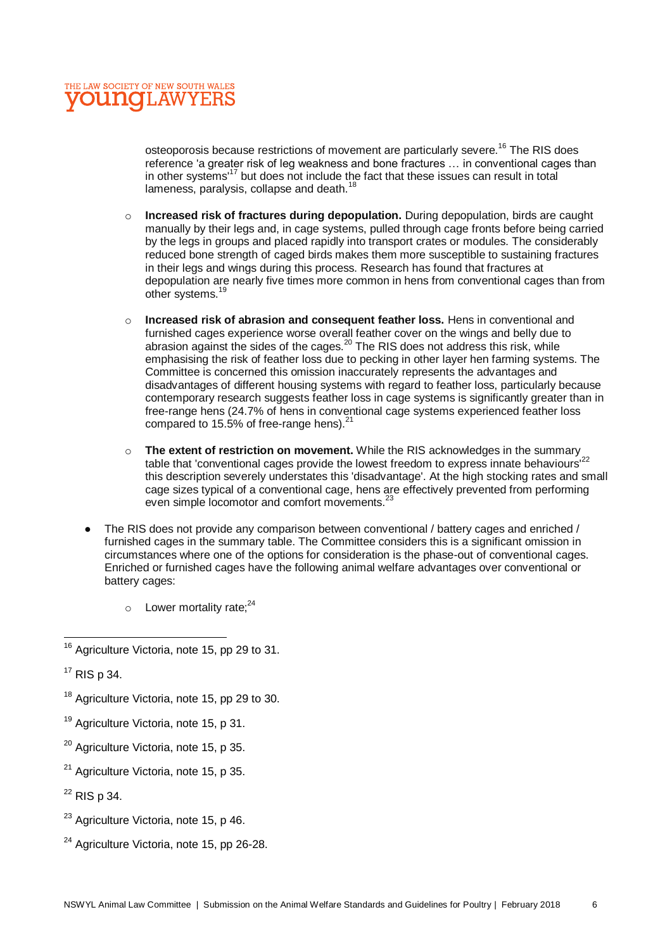osteoporosis because restrictions of movement are particularly severe.<sup>16</sup> The RIS does reference 'a greater risk of leg weakness and bone fractures … in conventional cages than in other systems'<sup>17</sup> but does not include the fact that these issues can result in total lameness, paralysis, collapse and death. $^{18}$ 

- o **Increased risk of fractures during depopulation.** During depopulation, birds are caught manually by their legs and, in cage systems, pulled through cage fronts before being carried by the legs in groups and placed rapidly into transport crates or modules. The considerably reduced bone strength of caged birds makes them more susceptible to sustaining fractures in their legs and wings during this process. Research has found that fractures at depopulation are nearly five times more common in hens from conventional cages than from other systems.<sup>1</sup>
- o **Increased risk of abrasion and consequent feather loss.** Hens in conventional and furnished cages experience worse overall feather cover on the wings and belly due to abrasion against the sides of the cages.<sup>20</sup> The RIS does not address this risk, while emphasising the risk of feather loss due to pecking in other layer hen farming systems. The Committee is concerned this omission inaccurately represents the advantages and disadvantages of different housing systems with regard to feather loss, particularly because contemporary research suggests feather loss in cage systems is significantly greater than in free-range hens (24.7% of hens in conventional cage systems experienced feather loss compared to 15.5% of free-range hens). $21$
- o **The extent of restriction on movement.** While the RIS acknowledges in the summary table that 'conventional cages provide the lowest freedom to express innate behaviours<sup>'22</sup> this description severely understates this 'disadvantage'. At the high stocking rates and small cage sizes typical of a conventional cage, hens are effectively prevented from performing even simple locomotor and comfort movements.<sup>23</sup>
- The RIS does not provide any comparison between conventional / battery cages and enriched / furnished cages in the summary table. The Committee considers this is a significant omission in circumstances where one of the options for consideration is the phase-out of conventional cages. Enriched or furnished cages have the following animal welfare advantages over conventional or battery cages:
	- $\circ$  Lower mortality rate;<sup>24</sup>

- <sup>18</sup> Agriculture Victoria, note 15, pp 29 to 30.
- <sup>19</sup> Agriculture Victoria, note 15, p 31,
- <sup>20</sup> Agriculture Victoria, note 15, p 35.
- <sup>21</sup> Agriculture Victoria, note 15, p 35.
- $22$  RIS p 34.
- $23$  Agriculture Victoria, note 15, p 46.
- $24$  Agriculture Victoria, note 15, pp 26-28.

 $\overline{a}$  $16$  Agriculture Victoria, note 15, pp 29 to 31.

 $17$  RIS p 34.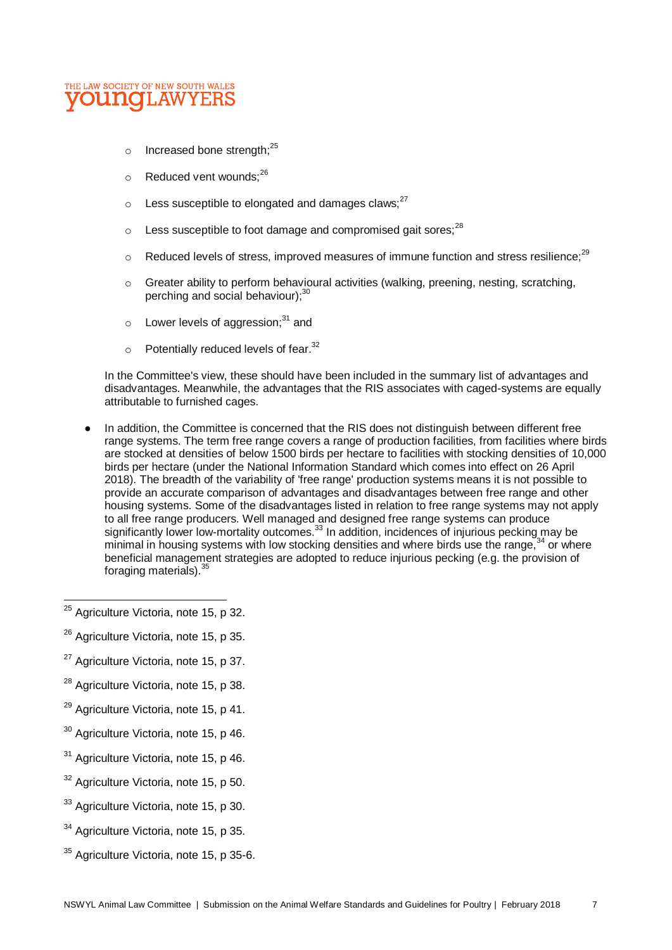

- o Increased bone strength; $^{25}$
- $\circ$  Reduced vent wounds:  $26$
- $\circ$  Less susceptible to elongated and damages claws;<sup>27</sup>
- $\circ$  Less susceptible to foot damage and compromised gait sores:  $^{28}$
- $\circ$  Reduced levels of stress, improved measures of immune function and stress resilience:<sup>29</sup>
- $\circ$  Greater ability to perform behavioural activities (walking, preening, nesting, scratching, perching and social behaviour);<sup>30</sup>
- $\circ$  Lower levels of aggression;<sup>31</sup> and
- $\circ$  Potentially reduced levels of fear.<sup>32</sup>

In the Committee's view, these should have been included in the summary list of advantages and disadvantages. Meanwhile, the advantages that the RIS associates with caged-systems are equally attributable to furnished cages.

● In addition, the Committee is concerned that the RIS does not distinguish between different free range systems. The term free range covers a range of production facilities, from facilities where birds are stocked at densities of below 1500 birds per hectare to facilities with stocking densities of 10,000 birds per hectare (under the National Information Standard which comes into effect on 26 April 2018). The breadth of the variability of 'free range' production systems means it is not possible to provide an accurate comparison of advantages and disadvantages between free range and other housing systems. Some of the disadvantages listed in relation to free range systems may not apply to all free range producers. Well managed and designed free range systems can produce significantly lower low-mortality outcomes.<sup>33</sup> In addition, incidences of injurious pecking may be minimal in housing systems with low stocking densities and where birds use the range,<sup>34</sup> or where beneficial management strategies are adopted to reduce injurious pecking (e.g. the provision of foraging materials).<sup>35</sup>

 $\overline{\phantom{a}}$ 

<sup>26</sup> Agriculture Victoria, note 15, p 35.

- <sup>28</sup> Agriculture Victoria, note 15, p 38.
- $29$  Agriculture Victoria, note 15, p 41.
- <sup>30</sup> Agriculture Victoria, note 15, p 46.
- $31$  Agriculture Victoria, note 15, p 46.
- $32$  Agriculture Victoria, note 15, p 50.
- <sup>33</sup> Agriculture Victoria, note 15, p 30.
- <sup>34</sup> Agriculture Victoria, note 15, p 35.
- <sup>35</sup> Agriculture Victoria, note 15, p 35-6.

<sup>&</sup>lt;sup>25</sup> Agriculture Victoria, note 15, p 32.

<sup>&</sup>lt;sup>27</sup> Agriculture Victoria, note 15, p 37.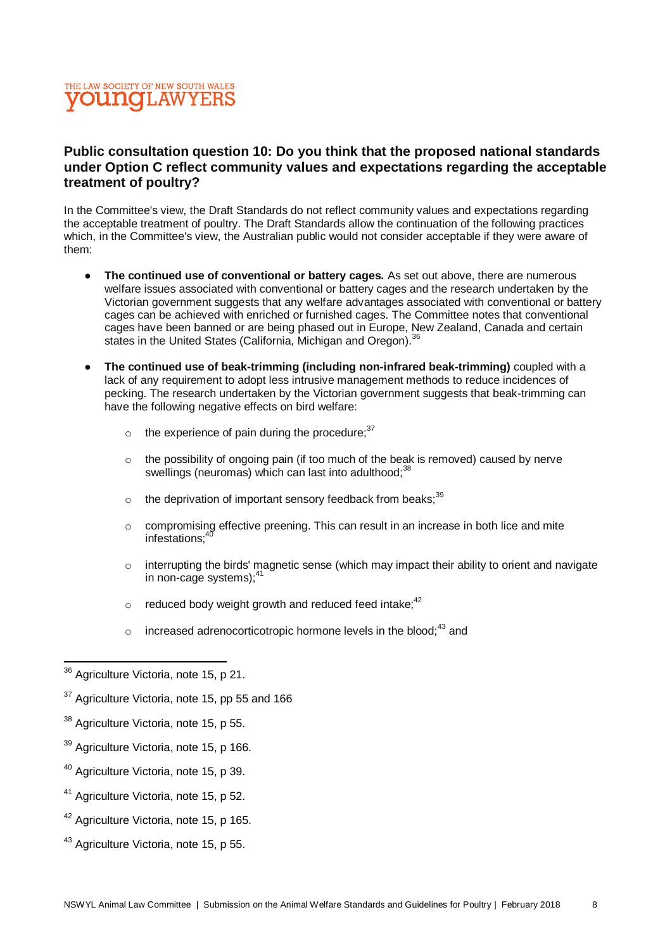#### THE LAW SOCIETY OF NEW SOUTH WALES **VOUNCLAWYERS**

#### **Public consultation question 10: Do you think that the proposed national standards under Option C reflect community values and expectations regarding the acceptable treatment of poultry?**

In the Committee's view, the Draft Standards do not reflect community values and expectations regarding the acceptable treatment of poultry. The Draft Standards allow the continuation of the following practices which, in the Committee's view, the Australian public would not consider acceptable if they were aware of them:

- **The continued use of conventional or battery cages.** As set out above, there are numerous welfare issues associated with conventional or battery cages and the research undertaken by the Victorian government suggests that any welfare advantages associated with conventional or battery cages can be achieved with enriched or furnished cages. The Committee notes that conventional cages have been banned or are being phased out in Europe, New Zealand, Canada and certain states in the United States (California, Michigan and Oregon).<sup>36</sup>
- **The continued use of beak-trimming (including non-infrared beak-trimming)** coupled with a lack of any requirement to adopt less intrusive management methods to reduce incidences of pecking. The research undertaken by the Victorian government suggests that beak-trimming can have the following negative effects on bird welfare:
	- $\circ$  the experience of pain during the procedure;  $37$
	- o the possibility of ongoing pain (if too much of the beak is removed) caused by nerve swellings (neuromas) which can last into adulthood:<sup>38</sup>
	- $\circ$  the deprivation of important sensory feedback from beaks;<sup>39</sup>
	- o compromising effective preening. This can result in an increase in both lice and mite infestations:<sup>4</sup>
	- $\circ$  interrupting the birds' magnetic sense (which may impact their ability to orient and navigate in non-cage systems);<sup>4</sup>
	- $\circ$  reduced body weight growth and reduced feed intake;  $42$
	- $\circ$  increased adrenocorticotropic hormone levels in the blood;<sup>43</sup> and

- <sup>40</sup> Agriculture Victoria, note 15, p 39.
- <sup>41</sup> Agriculture Victoria, note 15, p 52.
- <sup>42</sup> Agriculture Victoria, note 15, p 165.
- <sup>43</sup> Agriculture Victoria, note 15, p 55.

 $\overline{a}$ <sup>36</sup> Agriculture Victoria, note 15, p 21.

 $37$  Agriculture Victoria, note 15, pp 55 and 166

 $38$  Agriculture Victoria, note 15, p 55.

<sup>&</sup>lt;sup>39</sup> Agriculture Victoria, note 15, p 166.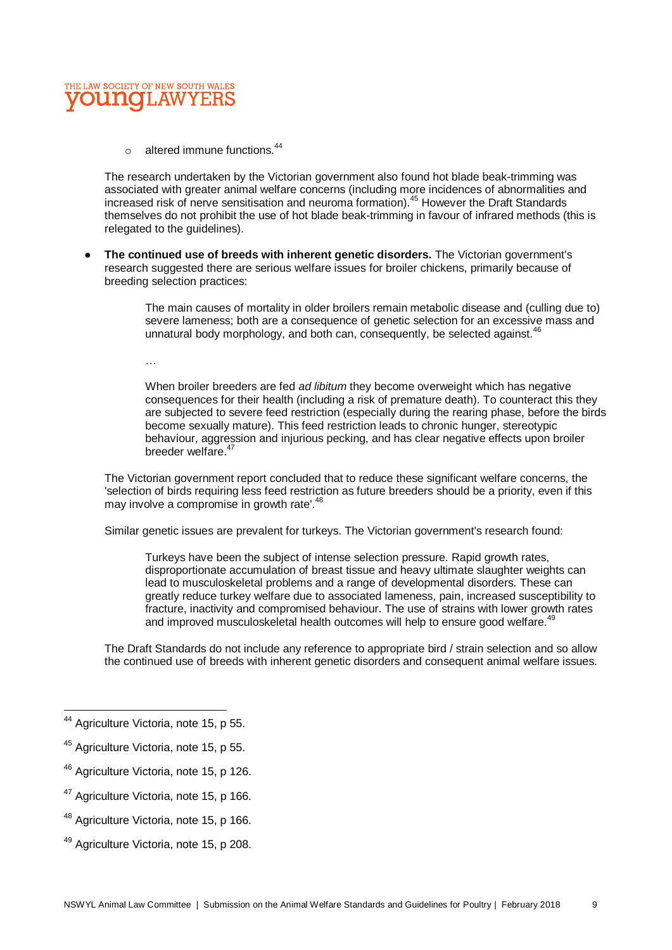

 $\circ$  altered immune functions.<sup>44</sup>

The research undertaken by the Victorian government also found hot blade beak-trimming was associated with greater animal welfare concerns (including more incidences of abnormalities and increased risk of nerve sensitisation and neuroma formation).<sup>45</sup> However the Draft Standards themselves do not prohibit the use of hot blade beak-trimming in favour of infrared methods (this is relegated to the guidelines).

● **The continued use of breeds with inherent genetic disorders.** The Victorian government's research suggested there are serious welfare issues for broiler chickens, primarily because of breeding selection practices:

> The main causes of mortality in older broilers remain metabolic disease and (culling due to) severe lameness; both are a consequence of genetic selection for an excessive mass and unnatural body morphology, and both can, consequently, be selected against.<sup>46</sup>

…

When broiler breeders are fed *ad libitum* they become overweight which has negative consequences for their health (including a risk of premature death). To counteract this they are subjected to severe feed restriction (especially during the rearing phase, before the birds become sexually mature). This feed restriction leads to chronic hunger, stereotypic behaviour, aggression and injurious pecking, and has clear negative effects upon broiler breeder welfare.<sup>47</sup>

The Victorian government report concluded that to reduce these significant welfare concerns, the 'selection of birds requiring less feed restriction as future breeders should be a priority, even if this may involve a compromise in growth rate'.<sup>48</sup>

Similar genetic issues are prevalent for turkeys. The Victorian government's research found:

Turkeys have been the subject of intense selection pressure. Rapid growth rates, disproportionate accumulation of breast tissue and heavy ultimate slaughter weights can lead to musculoskeletal problems and a range of developmental disorders. These can greatly reduce turkey welfare due to associated lameness, pain, increased susceptibility to fracture, inactivity and compromised behaviour. The use of strains with lower growth rates and improved musculoskeletal health outcomes will help to ensure good welfare.<sup>4</sup>

The Draft Standards do not include any reference to appropriate bird / strain selection and so allow the continued use of breeds with inherent genetic disorders and consequent animal welfare issues.

 $\overline{\phantom{a}}$ 

- <sup>47</sup> Agriculture Victoria, note 15, p 166.
- <sup>48</sup> Agriculture Victoria, note 15, p 166.
- <sup>49</sup> Agriculture Victoria, note 15, p 208.

<sup>&</sup>lt;sup>44</sup> Agriculture Victoria, note 15, p 55.

<sup>&</sup>lt;sup>45</sup> Agriculture Victoria, note 15, p 55.

<sup>46</sup> Agriculture Victoria, note 15, p 126.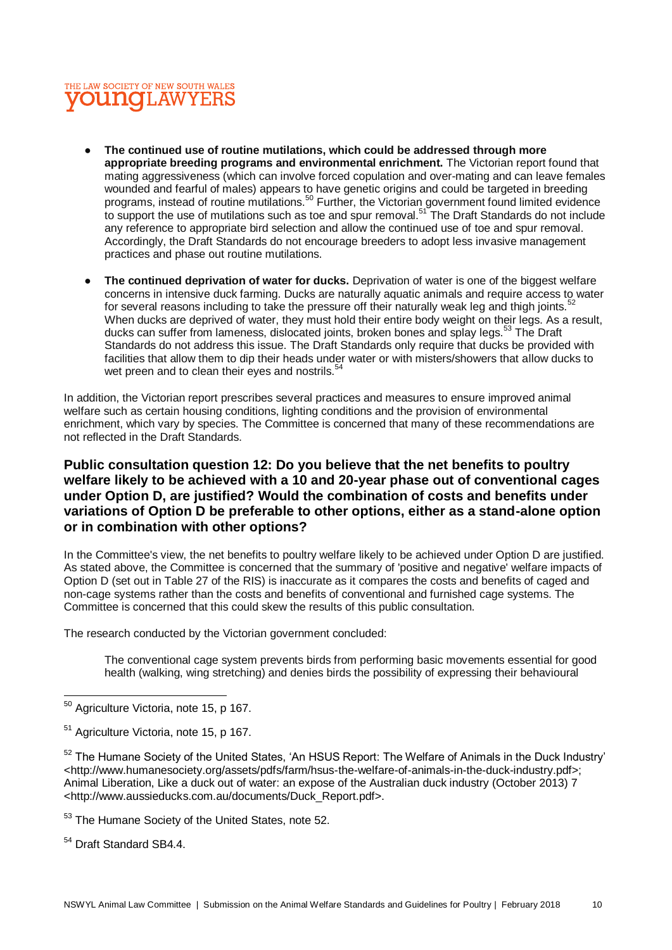#### THE LAW SOCIETY OF NEW SOUTH WALES **OUNCLAWYERS**

- The continued use of routine mutilations, which could be addressed through more **appropriate breeding programs and environmental enrichment.** The Victorian report found that mating aggressiveness (which can involve forced copulation and over-mating and can leave females wounded and fearful of males) appears to have genetic origins and could be targeted in breeding programs, instead of routine mutilations.<sup>50</sup> Further, the Victorian government found limited evidence to support the use of mutilations such as toe and spur removal.<sup>51</sup> The Draft Standards do not include any reference to appropriate bird selection and allow the continued use of toe and spur removal. Accordingly, the Draft Standards do not encourage breeders to adopt less invasive management practices and phase out routine mutilations.
- **The continued deprivation of water for ducks.** Deprivation of water is one of the biggest welfare concerns in intensive duck farming. Ducks are naturally aquatic animals and require access to water for several reasons including to take the pressure off their naturally weak leg and thigh joints.<sup>52</sup> When ducks are deprived of water, they must hold their entire body weight on their legs. As a result, ducks can suffer from lameness, dislocated joints, broken bones and splay legs.<sup>53</sup> The Draft Standards do not address this issue. The Draft Standards only require that ducks be provided with facilities that allow them to dip their heads under water or with misters/showers that allow ducks to wet preen and to clean their eyes and nostrils.<sup>54</sup>

In addition, the Victorian report prescribes several practices and measures to ensure improved animal welfare such as certain housing conditions, lighting conditions and the provision of environmental enrichment, which vary by species. The Committee is concerned that many of these recommendations are not reflected in the Draft Standards.

#### **Public consultation question 12: Do you believe that the net benefits to poultry welfare likely to be achieved with a 10 and 20-year phase out of conventional cages under Option D, are justified? Would the combination of costs and benefits under variations of Option D be preferable to other options, either as a stand-alone option or in combination with other options?**

In the Committee's view, the net benefits to poultry welfare likely to be achieved under Option D are justified. As stated above, the Committee is concerned that the summary of 'positive and negative' welfare impacts of Option D (set out in Table 27 of the RIS) is inaccurate as it compares the costs and benefits of caged and non-cage systems rather than the costs and benefits of conventional and furnished cage systems. The Committee is concerned that this could skew the results of this public consultation.

The research conducted by the Victorian government concluded:

The conventional cage system prevents birds from performing basic movements essential for good health (walking, wing stretching) and denies birds the possibility of expressing their behavioural

<sup>52</sup> The Humane Society of the United States, 'An HSUS Report: The Welfare of Animals in the Duck Industry' <http://www.humanesociety.org/assets/pdfs/farm/hsus-the-welfare-of-animals-in-the-duck-industry.pdf>; Animal Liberation, Like a duck out of water: an expose of the Australian duck industry (October 2013) 7 <http://www.aussieducks.com.au/documents/Duck\_Report.pdf>.

<sup>53</sup> The Humane Society of the United States, note 52.

<sup>54</sup> Draft Standard SB4.4.

 $\overline{a}$ 

 $50$  Agriculture Victoria, note 15, p 167.

<sup>&</sup>lt;sup>51</sup> Agriculture Victoria, note 15, p 167.